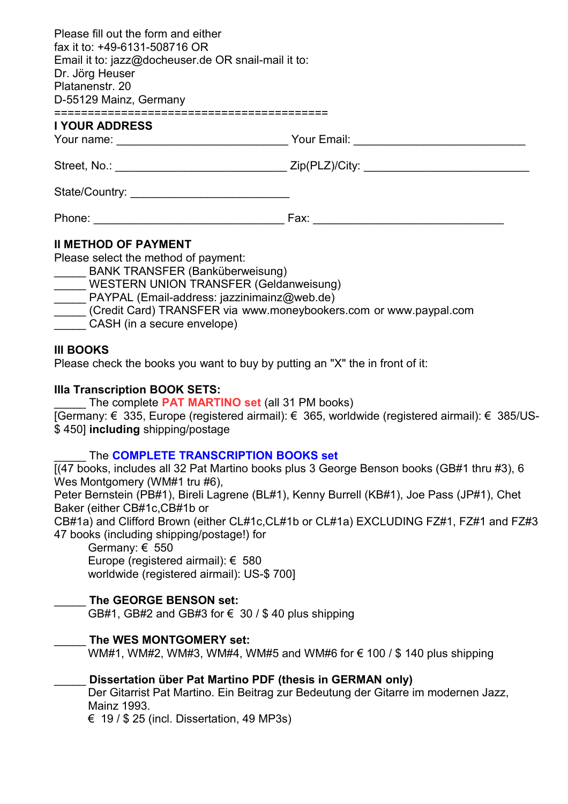| Please fill out the form and either<br>fax it to: +49-6131-508716 OR<br>Email it to: jazz@docheuser.de OR snail-mail it to:<br>Dr. Jörg Heuser<br>Platanenstr, 20<br>D-55129 Mainz, Germany |  |
|---------------------------------------------------------------------------------------------------------------------------------------------------------------------------------------------|--|
| ;====================================<br>I YOUR ADDRESS                                                                                                                                     |  |
|                                                                                                                                                                                             |  |
|                                                                                                                                                                                             |  |
|                                                                                                                                                                                             |  |
|                                                                                                                                                                                             |  |
| <b>II METHOD OF PAYMENT</b>                                                                                                                                                                 |  |

Please select the method of payment:

\_\_\_\_\_ BANK TRANSFER (Banküberweisung)

WESTERN UNION TRANSFER (Geldanweisung)

PAYPAL (Email-address: jazzinimainz@web.de)

\_\_\_\_\_ (Credit Card) TRANSFER via www.moneybookers.com or www.paypal.com

\_\_\_\_\_ CASH (in a secure envelope)

#### **III BOOKS**

Please check the books you want to buy by putting an "X" the in front of it:

#### **IIIa Transcription BOOK SETS:**

The complete **PAT MARTINO set** (all 31 PM books)

[Germany: € 335, Europe (registered airmail): € 365, worldwide (registered airmail): € 385/US- \$ 450] **including** shipping/postage

# \_\_\_\_\_ The **COMPLETE TRANSCRIPTION BOOKS set**

[(47 books, includes all 32 Pat Martino books plus 3 George Benson books (GB#1 thru #3), 6 Wes Montgomery (WM#1 tru #6),

Peter Bernstein (PB#1), Bireli Lagrene (BL#1), Kenny Burrell (KB#1), Joe Pass (JP#1), Chet Baker (either CB#1c,CB#1b or

CB#1a) and Clifford Brown (either CL#1c,CL#1b or CL#1a) EXCLUDING FZ#1, FZ#1 and FZ#3 47 books (including shipping/postage!) for

Germany: € 550 Europe (registered airmail): € 580 worldwide (registered airmail): US-\$ 700]

# \_\_\_\_\_ **The GEORGE BENSON set:**

GB#1, GB#2 and GB#3 for  $\epsilon$  30 / \$40 plus shipping

# \_\_\_\_\_ **The WES MONTGOMERY set:**

WM#1, WM#2, WM#3, WM#4, WM#5 and WM#6 for  $\epsilon$  100 / \$ 140 plus shipping

# \_\_\_\_\_ **Dissertation über Pat Martino PDF (thesis in GERMAN only)**

Der Gitarrist Pat Martino. Ein Beitrag zur Bedeutung der Gitarre im modernen Jazz, Mainz 1993.

 $\epsilon$  19 / \$ 25 (incl. Dissertation, 49 MP3s)